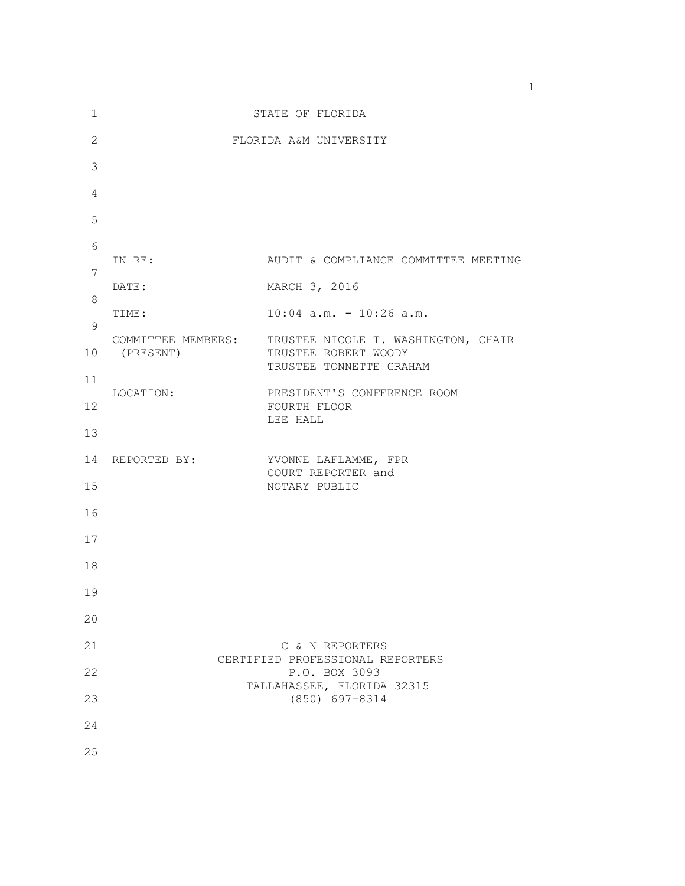| 1            | STATE OF FLORIDA                  |                                                                                                           |
|--------------|-----------------------------------|-----------------------------------------------------------------------------------------------------------|
| $\mathbf{2}$ | FLORIDA A&M UNIVERSITY            |                                                                                                           |
| 3            |                                   |                                                                                                           |
| 4            |                                   |                                                                                                           |
| 5            |                                   |                                                                                                           |
| 6            | IN RE:                            | AUDIT & COMPLIANCE COMMITTEE MEETING                                                                      |
| 7            |                                   |                                                                                                           |
| 8            | DATE:                             | MARCH 3, 2016                                                                                             |
| 9            | TIME:                             | $10:04$ a.m. - 10:26 a.m.                                                                                 |
| 10           | (PRESENT)                         | COMMITTEE MEMBERS: TRUSTEE NICOLE T. WASHINGTON, CHAIR<br>TRUSTEE ROBERT WOODY<br>TRUSTEE TONNETTE GRAHAM |
| 11           | LOCATION:                         | PRESIDENT'S CONFERENCE ROOM                                                                               |
| 12           |                                   | FOURTH FLOOR<br>LEE HALL                                                                                  |
| 13           |                                   |                                                                                                           |
| 14           | REPORTED BY: YVONNE LAFLAMME, FPR | COURT REPORTER and                                                                                        |
| 15           |                                   | NOTARY PUBLIC                                                                                             |
| 16           |                                   |                                                                                                           |
| 17           |                                   |                                                                                                           |
| 18           |                                   |                                                                                                           |
| 19           |                                   |                                                                                                           |
| 20           |                                   |                                                                                                           |
| 21           |                                   | C & N REPORTERS                                                                                           |
| 22           |                                   | CERTIFIED PROFESSIONAL REPORTERS<br>P.O. BOX 3093<br>TALLAHASSEE, FLORIDA 32315                           |
| 23           |                                   | $(850)$ 697-8314                                                                                          |
| 24           |                                   |                                                                                                           |
| 25           |                                   |                                                                                                           |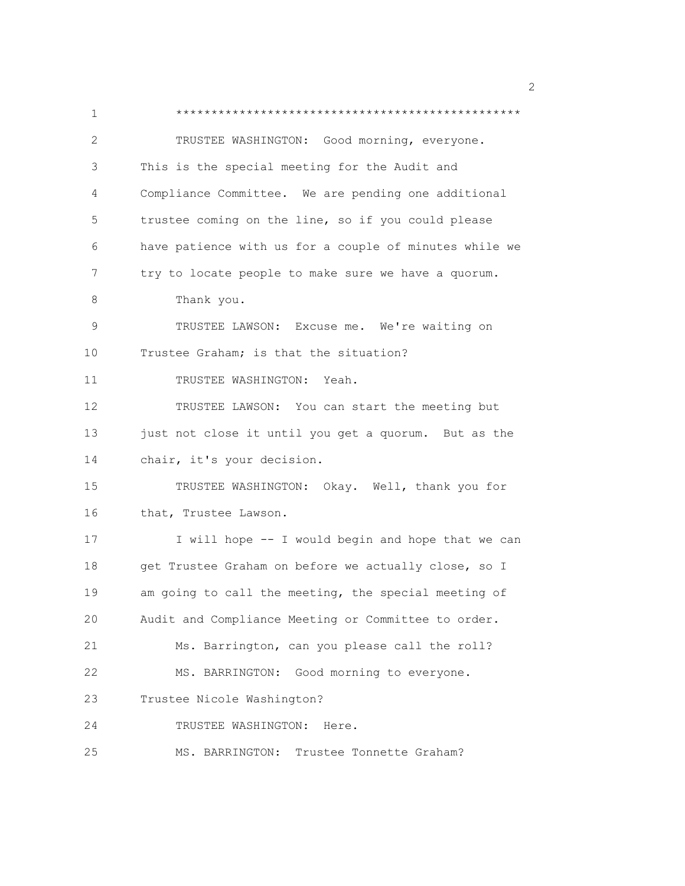1 \*\*\*\*\*\*\*\*\*\*\*\*\*\*\*\*\*\*\*\*\*\*\*\*\*\*\*\*\*\*\*\*\*\*\*\*\*\*\*\*\*\*\*\*\*\*\*\*\* 2 TRUSTEE WASHINGTON: Good morning, everyone. 3 This is the special meeting for the Audit and 4 Compliance Committee. We are pending one additional 5 trustee coming on the line, so if you could please 6 have patience with us for a couple of minutes while we 7 try to locate people to make sure we have a quorum. 8 Thank you. 9 TRUSTEE LAWSON: Excuse me. We're waiting on 10 Trustee Graham; is that the situation? 11 TRUSTEE WASHINGTON: Yeah. 12 TRUSTEE LAWSON: You can start the meeting but 13 just not close it until you get a quorum. But as the 14 chair, it's your decision. 15 TRUSTEE WASHINGTON: Okay. Well, thank you for 16 that, Trustee Lawson. 17 I will hope -- I would begin and hope that we can 18 get Trustee Graham on before we actually close, so I 19 am going to call the meeting, the special meeting of 20 Audit and Compliance Meeting or Committee to order. 21 Ms. Barrington, can you please call the roll? 22 MS. BARRINGTON: Good morning to everyone. 23 Trustee Nicole Washington? 24 TRUSTEE WASHINGTON: Here. 25 MS. BARRINGTON: Trustee Tonnette Graham?

 $\sim$  2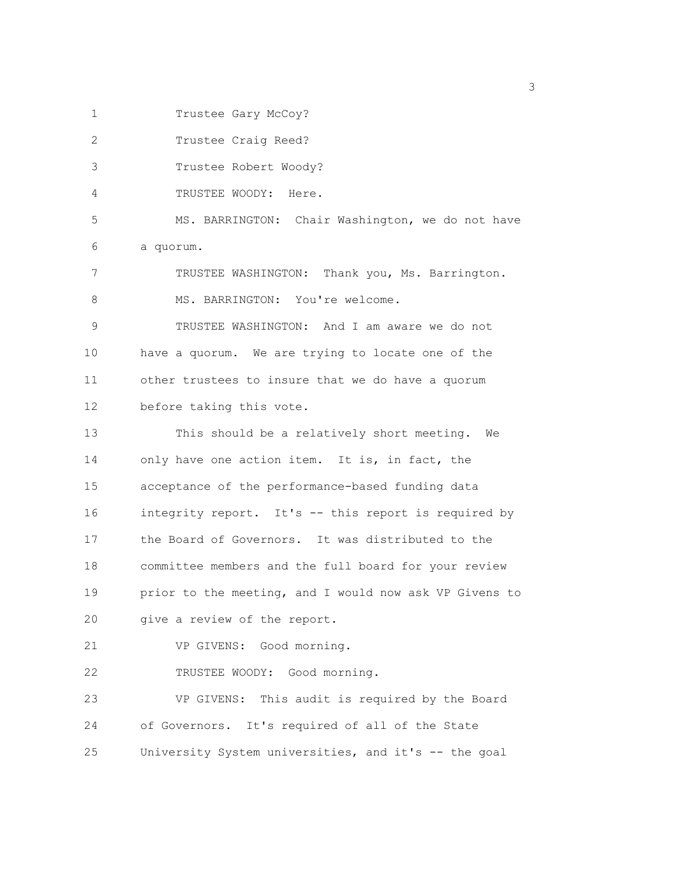1 Trustee Gary McCoy?

2 Trustee Craig Reed? 3 Trustee Robert Woody? 4 TRUSTEE WOODY: Here. 5 MS. BARRINGTON: Chair Washington, we do not have 6 a quorum. 7 TRUSTEE WASHINGTON: Thank you, Ms. Barrington. 8 MS. BARRINGTON: You're welcome. 9 TRUSTEE WASHINGTON: And I am aware we do not 10 have a quorum. We are trying to locate one of the 11 other trustees to insure that we do have a quorum 12 before taking this vote. 13 This should be a relatively short meeting. We 14 only have one action item. It is, in fact, the 15 acceptance of the performance-based funding data 16 integrity report. It's -- this report is required by 17 the Board of Governors. It was distributed to the 18 committee members and the full board for your review 19 prior to the meeting, and I would now ask VP Givens to 20 give a review of the report. 21 VP GIVENS: Good morning. 22 TRUSTEE WOODY: Good morning. 23 VP GIVENS: This audit is required by the Board 24 of Governors. It's required of all of the State 25 University System universities, and it's -- the goal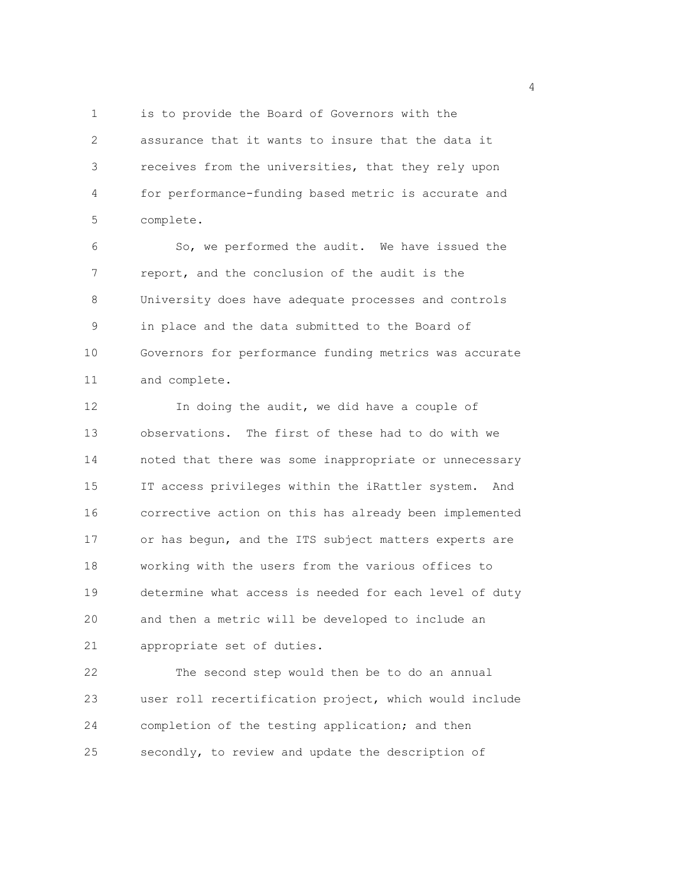1 is to provide the Board of Governors with the 2 assurance that it wants to insure that the data it 3 receives from the universities, that they rely upon 4 for performance-funding based metric is accurate and 5 complete.

6 So, we performed the audit. We have issued the 7 report, and the conclusion of the audit is the 8 University does have adequate processes and controls 9 in place and the data submitted to the Board of 10 Governors for performance funding metrics was accurate 11 and complete.

12 In doing the audit, we did have a couple of 13 observations. The first of these had to do with we 14 noted that there was some inappropriate or unnecessary 15 IT access privileges within the iRattler system. And 16 corrective action on this has already been implemented 17 or has begun, and the ITS subject matters experts are 18 working with the users from the various offices to 19 determine what access is needed for each level of duty 20 and then a metric will be developed to include an 21 appropriate set of duties.

22 The second step would then be to do an annual 23 user roll recertification project, which would include 24 completion of the testing application; and then 25 secondly, to review and update the description of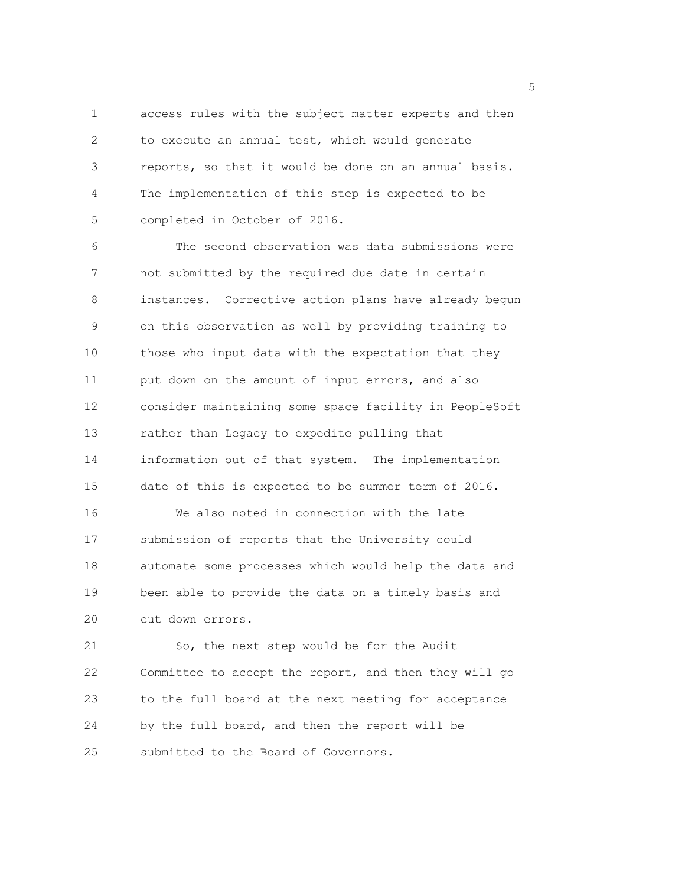1 access rules with the subject matter experts and then 2 to execute an annual test, which would generate 3 reports, so that it would be done on an annual basis. 4 The implementation of this step is expected to be 5 completed in October of 2016.

6 The second observation was data submissions were 7 not submitted by the required due date in certain 8 instances. Corrective action plans have already begun 9 on this observation as well by providing training to 10 those who input data with the expectation that they 11 put down on the amount of input errors, and also 12 consider maintaining some space facility in PeopleSoft 13 rather than Legacy to expedite pulling that 14 information out of that system. The implementation 15 date of this is expected to be summer term of 2016. 16 We also noted in connection with the late 17 submission of reports that the University could 18 automate some processes which would help the data and 19 been able to provide the data on a timely basis and 20 cut down errors.

21 So, the next step would be for the Audit 22 Committee to accept the report, and then they will go 23 to the full board at the next meeting for acceptance 24 by the full board, and then the report will be 25 submitted to the Board of Governors.

<u>5</u> September 2005 and 2006 and 2007 and 2007 and 2008 and 2007 and 2008 and 2008 and 2008 and 2008 and 2008 and 2008 and 2008 and 2008 and 2008 and 2008 and 2008 and 2008 and 2008 and 2008 and 2008 and 2008 and 2008 and 2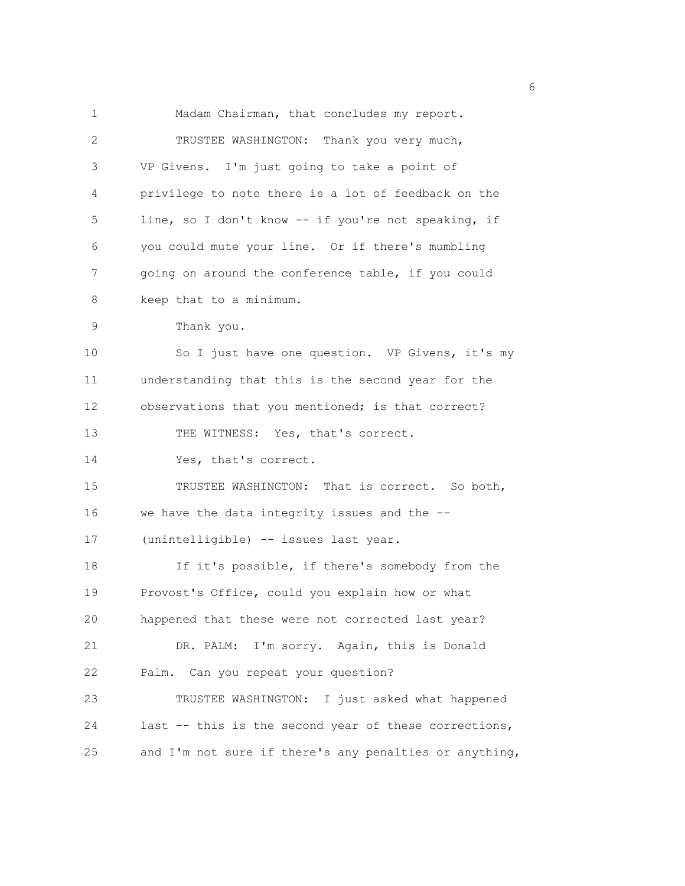1 Madam Chairman, that concludes my report. 2 TRUSTEE WASHINGTON: Thank you very much, 3 VP Givens. I'm just going to take a point of 4 privilege to note there is a lot of feedback on the 5 line, so I don't know -- if you're not speaking, if 6 you could mute your line. Or if there's mumbling 7 going on around the conference table, if you could 8 keep that to a minimum. 9 Thank you. 10 So I just have one question. VP Givens, it's my 11 understanding that this is the second year for the 12 observations that you mentioned; is that correct? 13 THE WITNESS: Yes, that's correct. 14 Yes, that's correct. 15 TRUSTEE WASHINGTON: That is correct. So both, 16 we have the data integrity issues and the -- 17 (unintelligible) -- issues last year. 18 If it's possible, if there's somebody from the 19 Provost's Office, could you explain how or what 20 happened that these were not corrected last year? 21 DR. PALM: I'm sorry. Again, this is Donald 22 Palm. Can you repeat your question? 23 TRUSTEE WASHINGTON: I just asked what happened 24 last -- this is the second year of these corrections, 25 and I'm not sure if there's any penalties or anything,

<u>6</u> and the contract of the contract of the contract of the contract of the contract of the contract of the contract of the contract of the contract of the contract of the contract of the contract of the contract of the co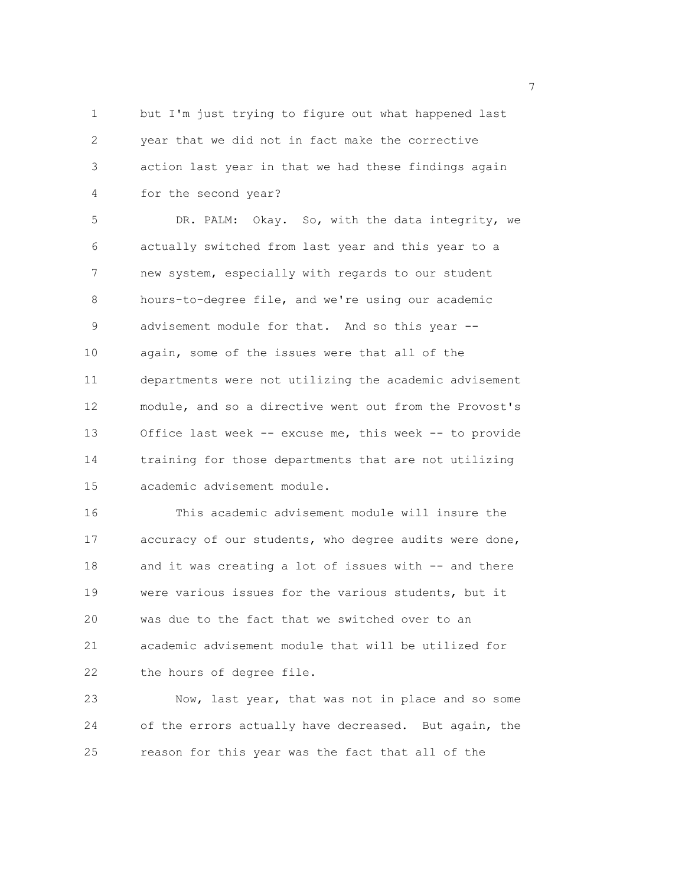1 but I'm just trying to figure out what happened last 2 year that we did not in fact make the corrective 3 action last year in that we had these findings again 4 for the second year?

5 DR. PALM: Okay. So, with the data integrity, we 6 actually switched from last year and this year to a 7 new system, especially with regards to our student 8 hours-to-degree file, and we're using our academic 9 advisement module for that. And so this year -- 10 again, some of the issues were that all of the 11 departments were not utilizing the academic advisement 12 module, and so a directive went out from the Provost's 13 Office last week -- excuse me, this week -- to provide 14 training for those departments that are not utilizing 15 academic advisement module.

16 This academic advisement module will insure the 17 accuracy of our students, who degree audits were done, 18 and it was creating a lot of issues with -- and there 19 were various issues for the various students, but it 20 was due to the fact that we switched over to an 21 academic advisement module that will be utilized for 22 the hours of degree file.

23 Now, last year, that was not in place and so some 24 of the errors actually have decreased. But again, the 25 reason for this year was the fact that all of the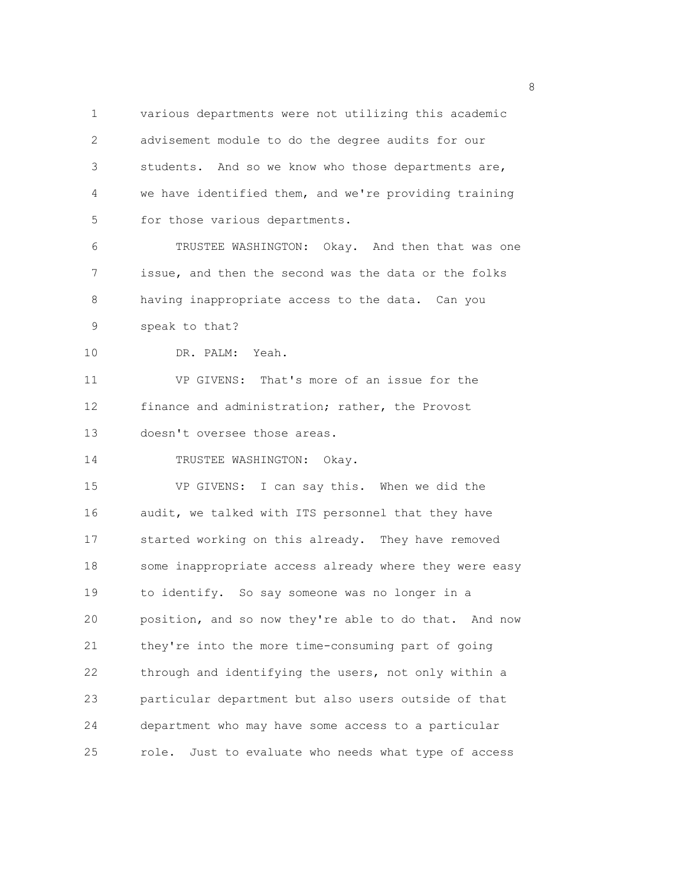1 various departments were not utilizing this academic 2 advisement module to do the degree audits for our 3 students. And so we know who those departments are, 4 we have identified them, and we're providing training 5 for those various departments.

6 TRUSTEE WASHINGTON: Okay. And then that was one 7 issue, and then the second was the data or the folks 8 having inappropriate access to the data. Can you 9 speak to that?

10 DR. PALM: Yeah.

11 VP GIVENS: That's more of an issue for the 12 finance and administration; rather, the Provost 13 doesn't oversee those areas.

14 TRUSTEE WASHINGTON: Okay.

15 VP GIVENS: I can say this. When we did the 16 audit, we talked with ITS personnel that they have 17 started working on this already. They have removed 18 some inappropriate access already where they were easy 19 to identify. So say someone was no longer in a 20 position, and so now they're able to do that. And now 21 they're into the more time-consuming part of going 22 through and identifying the users, not only within a 23 particular department but also users outside of that 24 department who may have some access to a particular 25 role. Just to evaluate who needs what type of access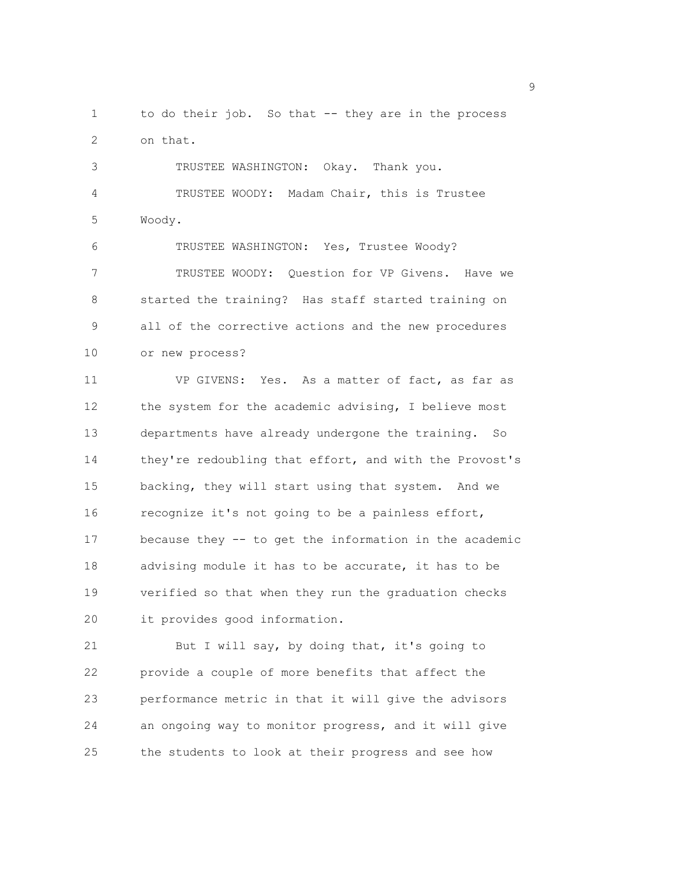1 to do their job. So that -- they are in the process 2 on that.

3 TRUSTEE WASHINGTON: Okay. Thank you. 4 TRUSTEE WOODY: Madam Chair, this is Trustee 5 Woody.

6 TRUSTEE WASHINGTON: Yes, Trustee Woody? 7 TRUSTEE WOODY: Question for VP Givens. Have we 8 started the training? Has staff started training on 9 all of the corrective actions and the new procedures 10 or new process?

11 VP GIVENS: Yes. As a matter of fact, as far as 12 the system for the academic advising, I believe most 13 departments have already undergone the training. So 14 they're redoubling that effort, and with the Provost's 15 backing, they will start using that system. And we 16 recognize it's not going to be a painless effort, 17 because they -- to get the information in the academic 18 advising module it has to be accurate, it has to be 19 verified so that when they run the graduation checks 20 it provides good information.

21 But I will say, by doing that, it's going to 22 provide a couple of more benefits that affect the 23 performance metric in that it will give the advisors 24 an ongoing way to monitor progress, and it will give 25 the students to look at their progress and see how

en de la provincia de la provincia de la provincia de la provincia de la provincia de la provincia de la provi<br>1900 : la provincia de la provincia de la provincia de la provincia de la provincia de la provincia de la prov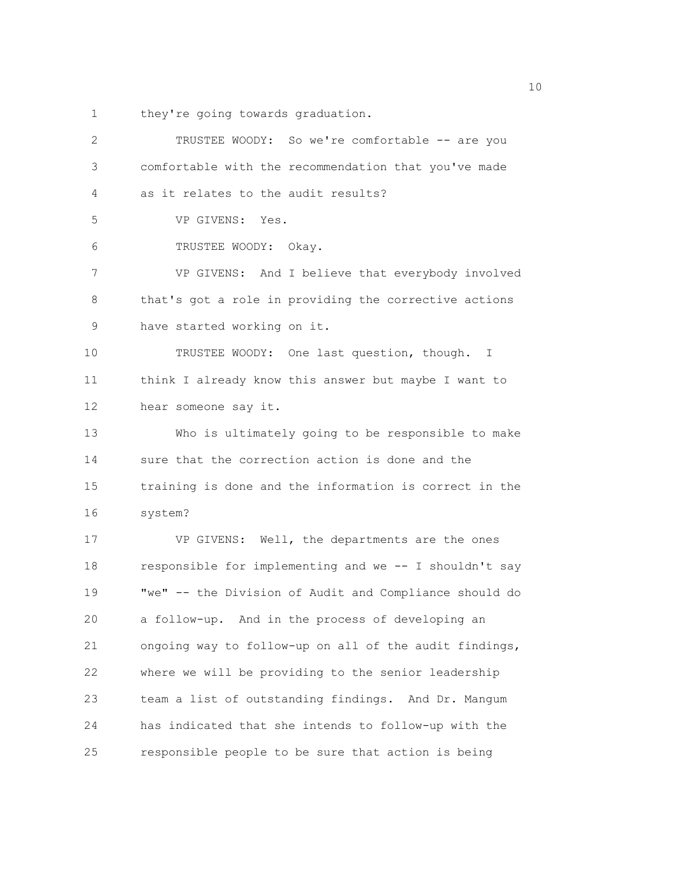1 they're going towards graduation.

| $\overline{2}$ | TRUSTEE WOODY: So we're comfortable -- are you         |
|----------------|--------------------------------------------------------|
| 3              | comfortable with the recommendation that you've made   |
| 4              | as it relates to the audit results?                    |
| 5              | VP GIVENS: Yes.                                        |
| 6              | TRUSTEE WOODY: Okay.                                   |
| 7              | VP GIVENS: And I believe that everybody involved       |
| 8              | that's got a role in providing the corrective actions  |
| $\mathsf 9$    | have started working on it.                            |
| 10             | TRUSTEE WOODY: One last question, though. I            |
| 11             | think I already know this answer but maybe I want to   |
| 12             | hear someone say it.                                   |
| 13             | Who is ultimately going to be responsible to make      |
| 14             | sure that the correction action is done and the        |
| 15             | training is done and the information is correct in the |
| 16             | system?                                                |
| 17             | VP GIVENS: Well, the departments are the ones          |
| 18             | responsible for implementing and we -- I shouldn't say |
| 19             | "we" -- the Division of Audit and Compliance should do |
| 20             | a follow-up. And in the process of developing an       |
| 21             | ongoing way to follow-up on all of the audit findings, |
| 22             | where we will be providing to the senior leadership    |
| 23             | team a list of outstanding findings. And Dr. Mangum    |
| 24             | has indicated that she intends to follow-up with the   |
| 25             | responsible people to be sure that action is being     |
|                |                                                        |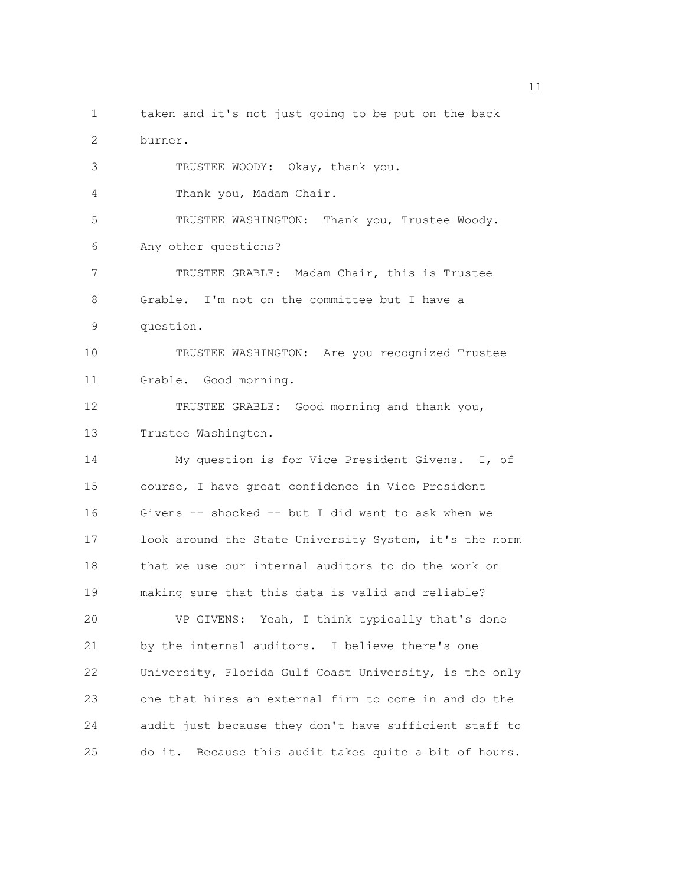1 taken and it's not just going to be put on the back 2 burner. 3 TRUSTEE WOODY: Okay, thank you. 4 Thank you, Madam Chair. 5 TRUSTEE WASHINGTON: Thank you, Trustee Woody. 6 Any other questions? 7 TRUSTEE GRABLE: Madam Chair, this is Trustee 8 Grable. I'm not on the committee but I have a 9 question. 10 TRUSTEE WASHINGTON: Are you recognized Trustee 11 Grable. Good morning. 12 TRUSTEE GRABLE: Good morning and thank you, 13 Trustee Washington. 14 My question is for Vice President Givens. I, of 15 course, I have great confidence in Vice President 16 Givens -- shocked -- but I did want to ask when we 17 look around the State University System, it's the norm 18 that we use our internal auditors to do the work on 19 making sure that this data is valid and reliable? 20 VP GIVENS: Yeah, I think typically that's done 21 by the internal auditors. I believe there's one 22 University, Florida Gulf Coast University, is the only 23 one that hires an external firm to come in and do the 24 audit just because they don't have sufficient staff to 25 do it. Because this audit takes quite a bit of hours.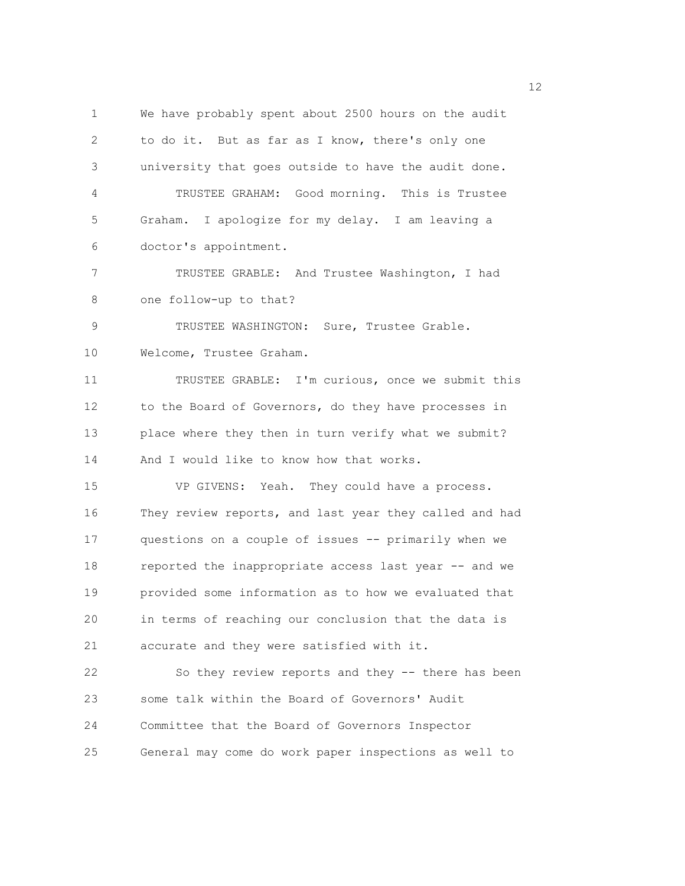1 We have probably spent about 2500 hours on the audit 2 to do it. But as far as I know, there's only one 3 university that goes outside to have the audit done. 4 TRUSTEE GRAHAM: Good morning. This is Trustee 5 Graham. I apologize for my delay. I am leaving a 6 doctor's appointment. 7 TRUSTEE GRABLE: And Trustee Washington, I had 8 one follow-up to that? 9 TRUSTEE WASHINGTON: Sure, Trustee Grable. 10 Welcome, Trustee Graham. 11 TRUSTEE GRABLE: I'm curious, once we submit this 12 to the Board of Governors, do they have processes in 13 place where they then in turn verify what we submit? 14 And I would like to know how that works. 15 VP GIVENS: Yeah. They could have a process. 16 They review reports, and last year they called and had 17 questions on a couple of issues -- primarily when we 18 reported the inappropriate access last year -- and we 19 provided some information as to how we evaluated that 20 in terms of reaching our conclusion that the data is 21 accurate and they were satisfied with it. 22 So they review reports and they -- there has been 23 some talk within the Board of Governors' Audit 24 Committee that the Board of Governors Inspector 25 General may come do work paper inspections as well to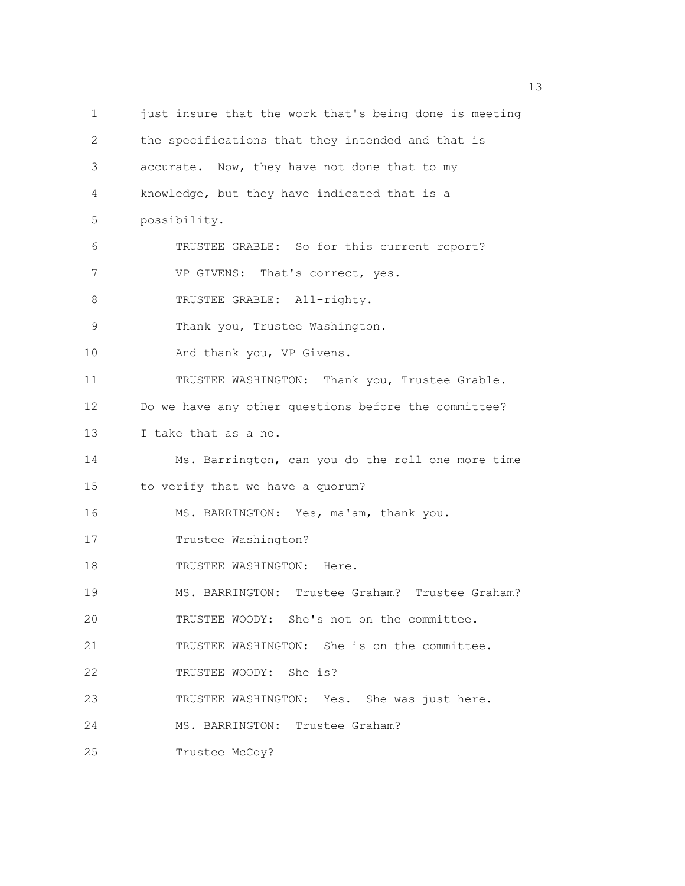1 just insure that the work that's being done is meeting 2 the specifications that they intended and that is 3 accurate. Now, they have not done that to my 4 knowledge, but they have indicated that is a 5 possibility. 6 TRUSTEE GRABLE: So for this current report? 7 VP GIVENS: That's correct, yes. 8 TRUSTEE GRABLE: All-righty. 9 Thank you, Trustee Washington. 10 And thank you, VP Givens. 11 TRUSTEE WASHINGTON: Thank you, Trustee Grable. 12 Do we have any other questions before the committee? 13 I take that as a no. 14 Ms. Barrington, can you do the roll one more time 15 to verify that we have a quorum? 16 MS. BARRINGTON: Yes, ma'am, thank you. 17 Trustee Washington? 18 TRUSTEE WASHINGTON: Here. 19 MS. BARRINGTON: Trustee Graham? Trustee Graham? 20 TRUSTEE WOODY: She's not on the committee. 21 TRUSTEE WASHINGTON: She is on the committee. 22 TRUSTEE WOODY: She is? 23 TRUSTEE WASHINGTON: Yes. She was just here. 24 MS. BARRINGTON: Trustee Graham? 25 Trustee McCoy?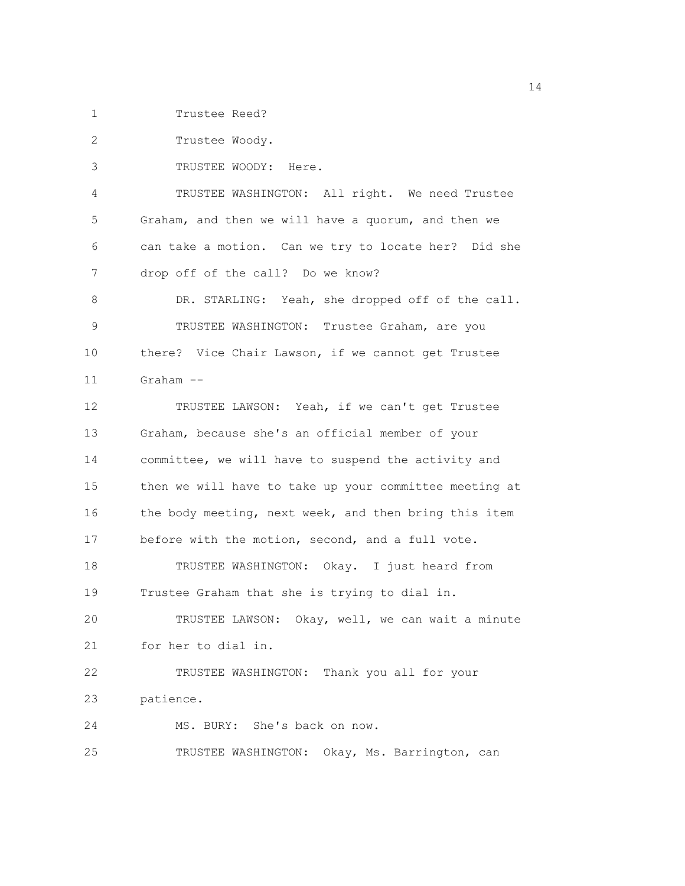1 Trustee Reed?

2 Trustee Woody.

3 TRUSTEE WOODY: Here.

4 TRUSTEE WASHINGTON: All right. We need Trustee 5 Graham, and then we will have a quorum, and then we 6 can take a motion. Can we try to locate her? Did she 7 drop off of the call? Do we know?

8 DR. STARLING: Yeah, she dropped off of the call. 9 TRUSTEE WASHINGTON: Trustee Graham, are you 10 there? Vice Chair Lawson, if we cannot get Trustee 11 Graham --

12 TRUSTEE LAWSON: Yeah, if we can't get Trustee 13 Graham, because she's an official member of your 14 committee, we will have to suspend the activity and 15 then we will have to take up your committee meeting at 16 the body meeting, next week, and then bring this item 17 before with the motion, second, and a full vote. 18 TRUSTEE WASHINGTON: Okay. I just heard from 19 Trustee Graham that she is trying to dial in. 20 TRUSTEE LAWSON: Okay, well, we can wait a minute 21 for her to dial in. 22 TRUSTEE WASHINGTON: Thank you all for your 23 patience. 24 MS. BURY: She's back on now.

25 TRUSTEE WASHINGTON: Okay, Ms. Barrington, can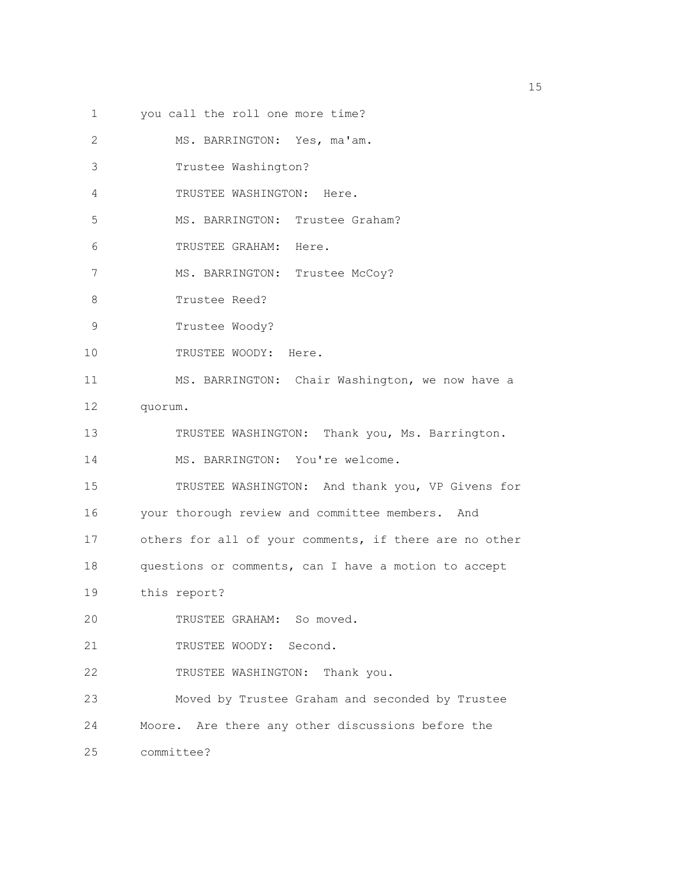1 you call the roll one more time?

2 MS. BARRINGTON: Yes, ma'am. 3 Trustee Washington? 4 TRUSTEE WASHINGTON: Here. 5 MS. BARRINGTON: Trustee Graham? 6 TRUSTEE GRAHAM: Here. 7 MS. BARRINGTON: Trustee McCoy? 8 Trustee Reed? 9 Trustee Woody? 10 TRUSTEE WOODY: Here. 11 MS. BARRINGTON: Chair Washington, we now have a 12 quorum. 13 TRUSTEE WASHINGTON: Thank you, Ms. Barrington. 14 MS. BARRINGTON: You're welcome. 15 TRUSTEE WASHINGTON: And thank you, VP Givens for 16 your thorough review and committee members. And 17 others for all of your comments, if there are no other 18 questions or comments, can I have a motion to accept 19 this report? 20 TRUSTEE GRAHAM: So moved. 21 TRUSTEE WOODY: Second. 22 TRUSTEE WASHINGTON: Thank you. 23 Moved by Trustee Graham and seconded by Trustee 24 Moore. Are there any other discussions before the 25 committee?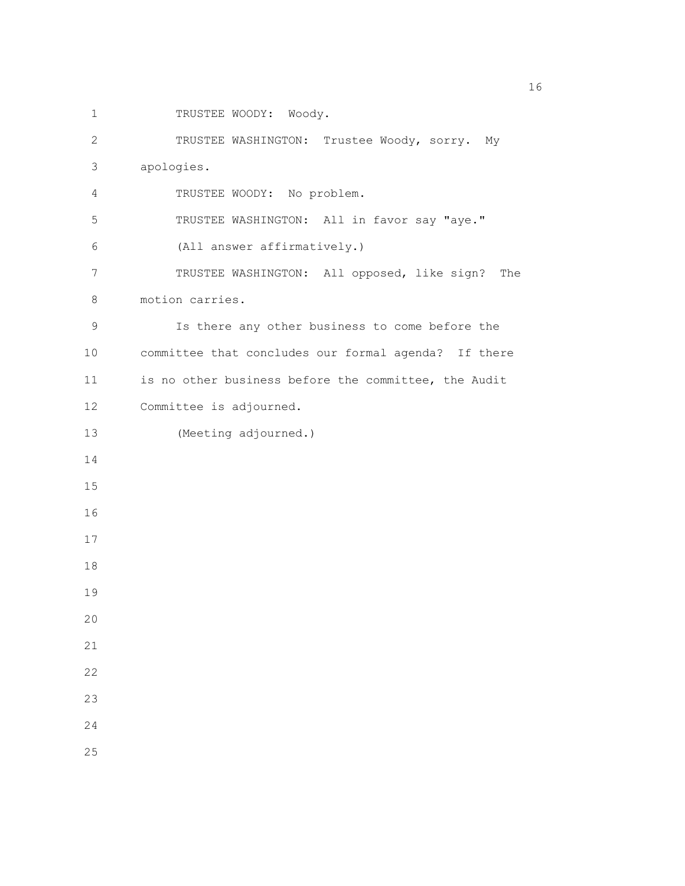1 TRUSTEE WOODY: Woody.

2 TRUSTEE WASHINGTON: Trustee Woody, sorry. My 3 apologies. 4 TRUSTEE WOODY: No problem. 5 TRUSTEE WASHINGTON: All in favor say "aye." 6 (All answer affirmatively.) 7 TRUSTEE WASHINGTON: All opposed, like sign? The 8 motion carries. 9 Is there any other business to come before the 10 committee that concludes our formal agenda? If there 11 is no other business before the committee, the Audit 12 Committee is adjourned. 13 (Meeting adjourned.) 14 15 16 17 18 19 20 21 22 23 24 25